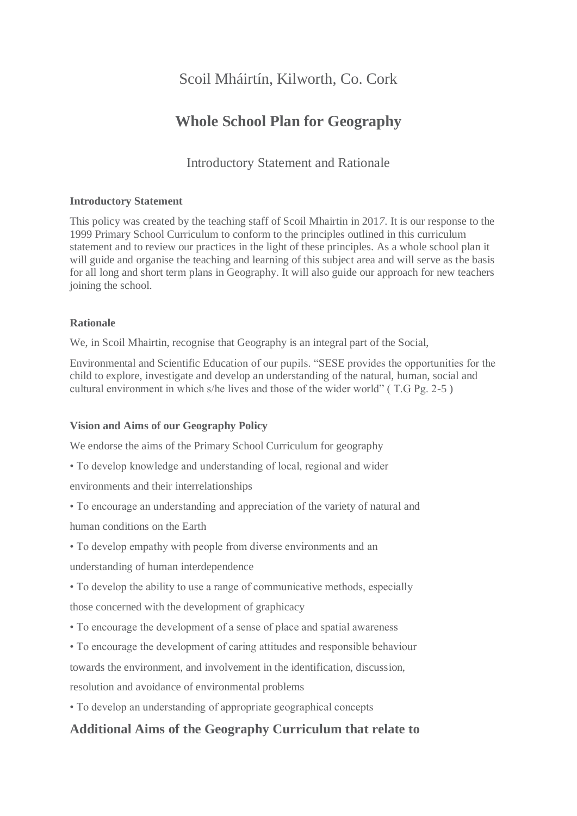# Scoil Mháirtín, Kilworth, Co. Cork

# **Whole School Plan for Geography**

Introductory Statement and Rationale

## **Introductory Statement**

This policy was created by the teaching staff of Scoil Mhairtin in 201*7*. It is our response to the 1999 Primary School Curriculum to conform to the principles outlined in this curriculum statement and to review our practices in the light of these principles. As a whole school plan it will guide and organise the teaching and learning of this subject area and will serve as the basis for all long and short term plans in Geography. It will also guide our approach for new teachers joining the school.

## **Rationale**

We, in Scoil Mhairtin, recognise that Geography is an integral part of the Social,

Environmental and Scientific Education of our pupils. "SESE provides the opportunities for the child to explore, investigate and develop an understanding of the natural, human, social and cultural environment in which s/he lives and those of the wider world" ( T.G Pg. 2-5 )

## **Vision and Aims of our Geography Policy**

We endorse the aims of the Primary School Curriculum for geography

• To develop knowledge and understanding of local, regional and wider

environments and their interrelationships

• To encourage an understanding and appreciation of the variety of natural and

human conditions on the Earth

• To develop empathy with people from diverse environments and an

understanding of human interdependence

- To develop the ability to use a range of communicative methods, especially those concerned with the development of graphicacy
- To encourage the development of a sense of place and spatial awareness
- To encourage the development of caring attitudes and responsible behaviour

towards the environment, and involvement in the identification, discussion,

resolution and avoidance of environmental problems

• To develop an understanding of appropriate geographical concepts

## **Additional Aims of the Geography Curriculum that relate to**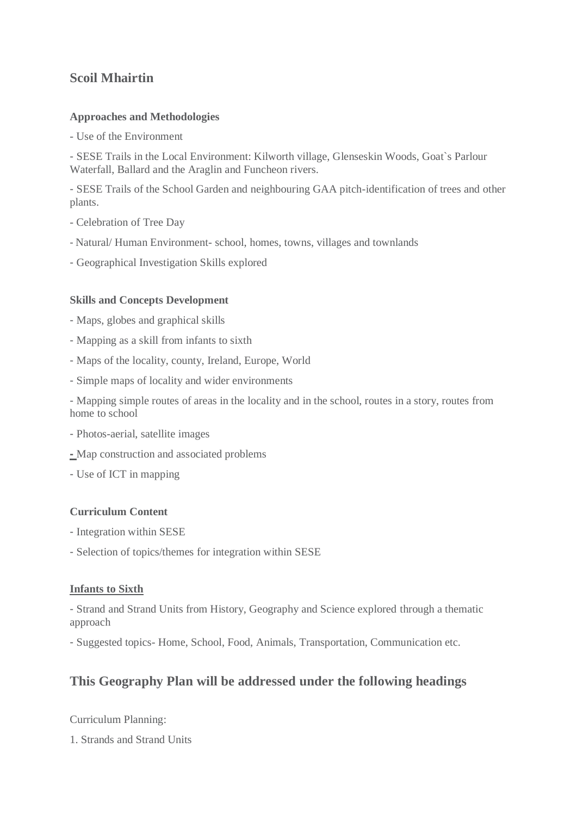## **Scoil Mhairtin**

## **Approaches and Methodologies**

- Use of the Environment

- SESE Trails in the Local Environment: Kilworth village, Glenseskin Woods, Goat`s Parlour Waterfall, Ballard and the Araglin and Funcheon rivers.

- SESE Trails of the School Garden and neighbouring GAA pitch-identification of trees and other plants.

- Celebration of Tree Day
- Natural/ Human Environment- school, homes, towns, villages and townlands
- Geographical Investigation Skills explored

## **Skills and Concepts Development**

- Maps, globes and graphical skills
- Mapping as a skill from infants to sixth
- Maps of the locality, county, Ireland, Europe, World
- Simple maps of locality and wider environments

- Mapping simple routes of areas in the locality and in the school, routes in a story, routes from home to school

- Photos-aerial, satellite images
- **-** Map construction and associated problems
- Use of ICT in mapping

## **Curriculum Content**

- Integration within SESE
- Selection of topics/themes for integration within SESE

## **Infants to Sixth**

- Strand and Strand Units from History, Geography and Science explored through a thematic approach

- Suggested topics- Home, School, Food, Animals, Transportation, Communication etc.

## **This Geography Plan will be addressed under the following headings**

Curriculum Planning:

1. Strands and Strand Units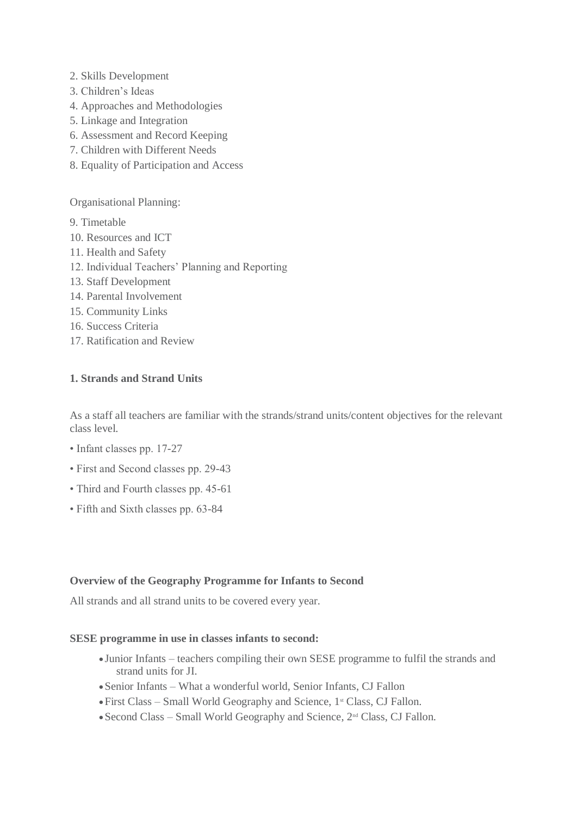- 2. Skills Development
- 3. Children's Ideas
- 4. Approaches and Methodologies
- 5. Linkage and Integration
- 6. Assessment and Record Keeping
- 7. Children with Different Needs
- 8. Equality of Participation and Access

Organisational Planning:

- 9. Timetable
- 10. Resources and ICT
- 11. Health and Safety
- 12. Individual Teachers' Planning and Reporting
- 13. Staff Development
- 14. Parental Involvement
- 15. Community Links
- 16. Success Criteria
- 17. Ratification and Review

## **1. Strands and Strand Units**

As a staff all teachers are familiar with the strands/strand units/content objectives for the relevant class level.

- Infant classes pp. 17-27
- First and Second classes pp. 29-43
- Third and Fourth classes pp. 45-61
- Fifth and Sixth classes pp. 63-84

## **Overview of the Geography Programme for Infants to Second**

All strands and all strand units to be covered every year.

## **SESE programme in use in classes infants to second:**

- Junior Infants teachers compiling their own SESE programme to fulfil the strands and strand units for JI.
- Senior Infants What a wonderful world, Senior Infants, CJ Fallon
- First Class Small World Geography and Science, 1<sup>st</sup> Class, CJ Fallon.
- $\bullet$  Second Class Small World Geography and Science,  $2^{nd}$  Class, CJ Fallon.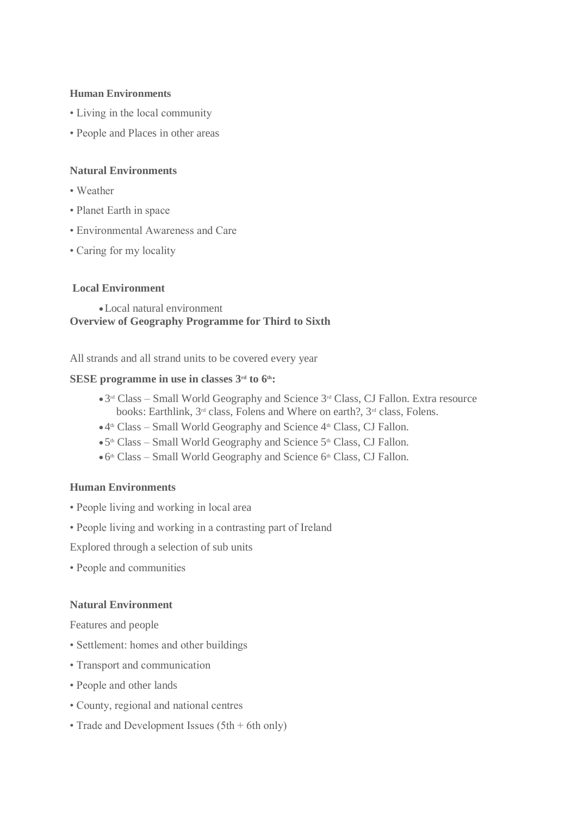#### **Human Environments**

- Living in the local community
- People and Places in other areas

## **Natural Environments**

- Weather
- Planet Earth in space
- Environmental Awareness and Care
- Caring for my locality

## **Local Environment**

Local natural environment **Overview of Geography Programme for Third to Sixth**

All strands and all strand units to be covered every year

#### **SESE programme in use in classes 3rd to 6th:**

- 3<sup>rd</sup> Class Small World Geography and Science 3<sup>rd</sup> Class, CJ Fallon. Extra resource books: Earthlink, 3rd class, Folens and Where on earth?, 3rd class, Folens.
- 4<sup>th</sup> Class Small World Geography and Science 4<sup>th</sup> Class, CJ Fallon.
- . 5<sup>th</sup> Class Small World Geography and Science 5<sup>th</sup> Class, CJ Fallon.
- 6 th Class Small World Geography and Science 6th Class, CJ Fallon.

#### **Human Environments**

- People living and working in local area
- People living and working in a contrasting part of Ireland

Explored through a selection of sub units

• People and communities

#### **Natural Environment**

Features and people

- Settlement: homes and other buildings
- Transport and communication
- People and other lands
- County, regional and national centres
- Trade and Development Issues (5th + 6th only)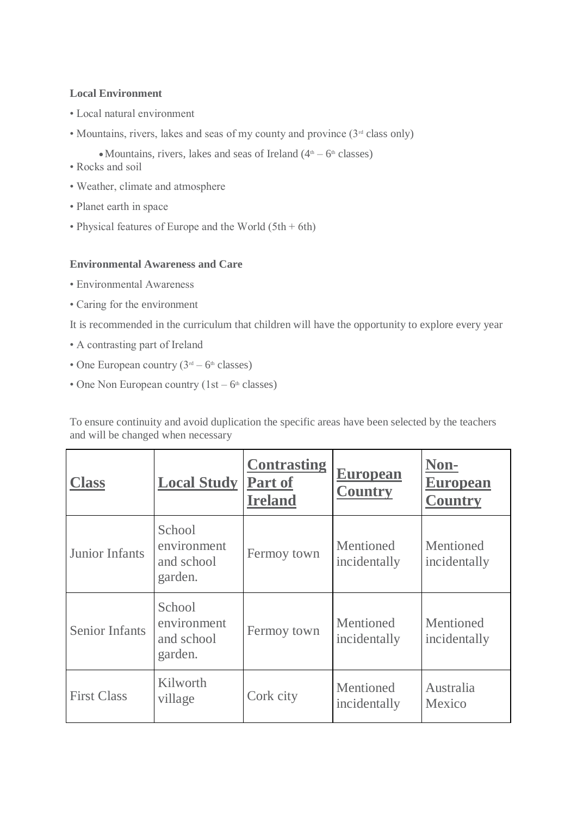## **Local Environment**

- Local natural environment
- Mountains, rivers, lakes and seas of my county and province  $(3<sup>rd</sup>$  class only)
	- Mountains, rivers, lakes and seas of Ireland  $(4<sup>th</sup> 6<sup>th</sup> classes)$
- Rocks and soil
- Weather, climate and atmosphere
- Planet earth in space
- Physical features of Europe and the World  $(5th + 6th)$

## **Environmental Awareness and Care**

- Environmental Awareness
- Caring for the environment

It is recommended in the curriculum that children will have the opportunity to explore every year

- A contrasting part of Ireland
- One European country  $(3<sup>rd</sup> 6<sup>th</sup>$  classes)
- One Non European country  $(1st 6<sup>th</sup> classes)$

To ensure continuity and avoid duplication the specific areas have been selected by the teachers and will be changed when necessary

| <b>Class</b>          | <b>Local Study</b>                             | <b>Contrasting</b><br><b>Part of</b><br><b>Ireland</b> | <b>European</b><br><b>Country</b> | Non-<br><b>European</b><br><b>Country</b> |
|-----------------------|------------------------------------------------|--------------------------------------------------------|-----------------------------------|-------------------------------------------|
| <b>Junior Infants</b> | School<br>environment<br>and school<br>garden. | Fermoy town                                            | Mentioned<br>incidentally         | Mentioned<br>incidentally                 |
| <b>Senior Infants</b> | School<br>environment<br>and school<br>garden. | Fermoy town                                            | Mentioned<br>incidentally         | Mentioned<br>incidentally                 |
| <b>First Class</b>    | Kilworth<br>village                            | Cork city                                              | Mentioned<br>incidentally         | Australia<br>Mexico                       |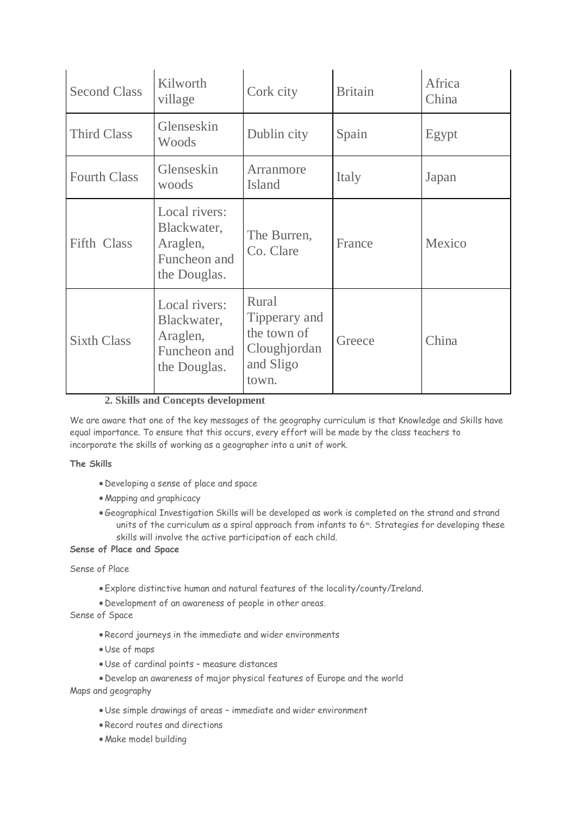| <b>Second Class</b> | Kilworth<br>village                                                      | Cork city                                                                   | <b>Britain</b> | Africa<br>China |
|---------------------|--------------------------------------------------------------------------|-----------------------------------------------------------------------------|----------------|-----------------|
| <b>Third Class</b>  | Glenseskin<br>Woods                                                      | Dublin city                                                                 | Spain          | Egypt           |
| <b>Fourth Class</b> | Glenseskin<br>woods                                                      | Arranmore<br>Island                                                         | Italy          | Japan           |
| <b>Fifth Class</b>  | Local rivers:<br>Blackwater,<br>Araglen,<br>Funcheon and<br>the Douglas. | The Burren,<br>Co. Clare                                                    | France         | Mexico          |
| <b>Sixth Class</b>  | Local rivers:<br>Blackwater,<br>Araglen,<br>Funcheon and<br>the Douglas. | Rural<br>Tipperary and<br>the town of<br>Cloughjordan<br>and Sligo<br>town. | Greece         | China           |

### **2. Skills and Concepts development**

We are aware that one of the key messages of the geography curriculum is that Knowledge and Skills have equal importance. To ensure that this occurs, every effort will be made by the class teachers to incorporate the skills of working as a geographer into a unit of work.

#### **The Skills**

- Developing a sense of place and space
- Mapping and graphicacy
- Geographical Investigation Skills will be developed as work is completed on the strand and strand units of the curriculum as a spiral approach from infants to 6<sup>th</sup>. Strategies for developing these skills will involve the active participation of each child.

### **Sense of Place and Space**

#### Sense of Place

- Explore distinctive human and natural features of the locality/county/Ireland.
- Development of an awareness of people in other areas.

### Sense of Space

- Record journeys in the immediate and wider environments
- Use of maps
- Use of cardinal points measure distances
- Develop an awareness of major physical features of Europe and the world

Maps and geography

- Use simple drawings of areas immediate and wider environment
- Record routes and directions
- Make model building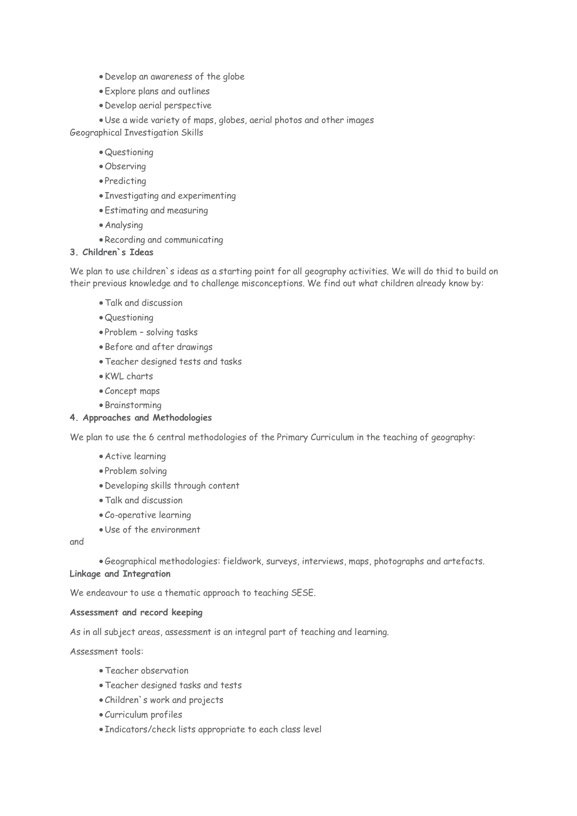- Develop an awareness of the globe
- Explore plans and outlines
- Develop aerial perspective

 Use a wide variety of maps, globes, aerial photos and other images Geographical Investigation Skills

- Questioning
- Observing
- Predicting
- Investigating and experimenting
- Estimating and measuring
- Analysing
- Recording and communicating

## **3. Children`s Ideas**

We plan to use children`s ideas as a starting point for all geography activities. We will do thid to build on their previous knowledge and to challenge misconceptions. We find out what children already know by:

- Talk and discussion
- Questioning
- Problem solving tasks
- Before and after drawings
- Teacher designed tests and tasks
- KWL charts
- Concept maps
- Brainstorming

#### **4. Approaches and Methodologies**

We plan to use the 6 central methodologies of the Primary Curriculum in the teaching of geography:

- Active learning
- Problem solving
- Developing skills through content
- Talk and discussion
- Co-operative learning
- Use of the environment

and

Geographical methodologies: fieldwork, surveys, interviews, maps, photographs and artefacts.

## **Linkage and Integration**

We endeavour to use a thematic approach to teaching SESE.

#### **Assessment and record keeping**

As in all subject areas, assessment is an integral part of teaching and learning.

Assessment tools:

- Teacher observation
- Teacher designed tasks and tests
- Children`s work and projects
- Curriculum profiles
- Indicators/check lists appropriate to each class level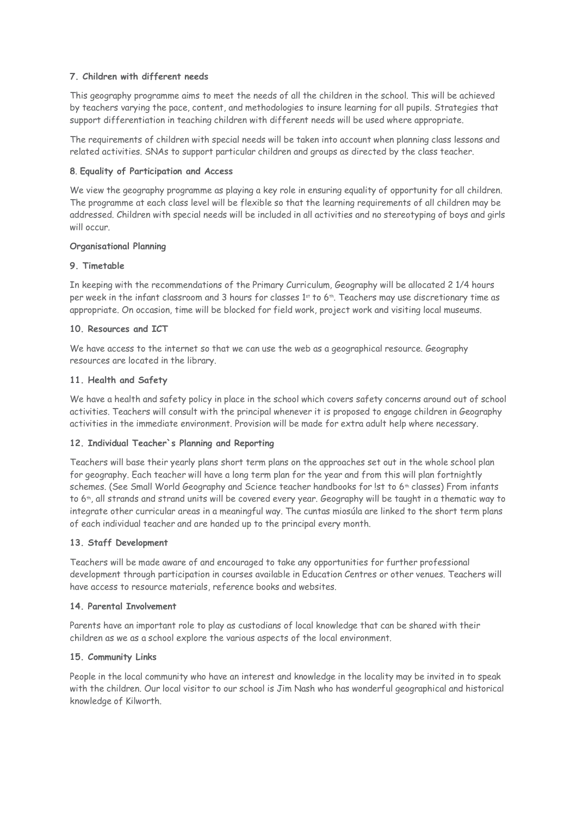#### **7. Children with different needs**

This geography programme aims to meet the needs of all the children in the school. This will be achieved by teachers varying the pace, content, and methodologies to insure learning for all pupils. Strategies that support differentiation in teaching children with different needs will be used where appropriate.

The requirements of children with special needs will be taken into account when planning class lessons and related activities. SNAs to support particular children and groups as directed by the class teacher.

#### **8**. **Equality of Participation and Access**

We view the geography programme as playing a key role in ensuring equality of opportunity for all children. The programme at each class level will be flexible so that the learning requirements of all children may be addressed. Children with special needs will be included in all activities and no stereotyping of boys and girls will occur.

#### **Organisational Planning**

#### **9. Timetable**

In keeping with the recommendations of the Primary Curriculum, Geography will be allocated 2 1/4 hours per week in the infant classroom and 3 hours for classes 1st to 6th. Teachers may use discretionary time as appropriate. On occasion, time will be blocked for field work, project work and visiting local museums.

#### **10. Resources and ICT**

We have access to the internet so that we can use the web as a geographical resource. Geography resources are located in the library.

#### **11. Health and Safety**

We have a health and safety policy in place in the school which covers safety concerns around out of school activities. Teachers will consult with the principal whenever it is proposed to engage children in Geography activities in the immediate environment. Provision will be made for extra adult help where necessary.

#### **12. Individual Teacher`s Planning and Reporting**

Teachers will base their yearly plans short term plans on the approaches set out in the whole school plan for geography. Each teacher will have a long term plan for the year and from this will plan fortnightly schemes. (See Small World Geography and Science teacher handbooks for 1st to 6<sup>th</sup> classes) From infants to 6<sup>th</sup>, all strands and strand units will be covered every year. Geography will be taught in a thematic way to integrate other curricular areas in a meaningful way. The cuntas miosúla are linked to the short term plans of each individual teacher and are handed up to the principal every month.

#### **13. Staff Development**

Teachers will be made aware of and encouraged to take any opportunities for further professional development through participation in courses available in Education Centres or other venues. Teachers will have access to resource materials, reference books and websites.

#### **14. Parental Involvement**

Parents have an important role to play as custodians of local knowledge that can be shared with their children as we as a school explore the various aspects of the local environment.

#### **15. Community Links**

People in the local community who have an interest and knowledge in the locality may be invited in to speak with the children. Our local visitor to our school is Jim Nash who has wonderful geographical and historical knowledge of Kilworth.